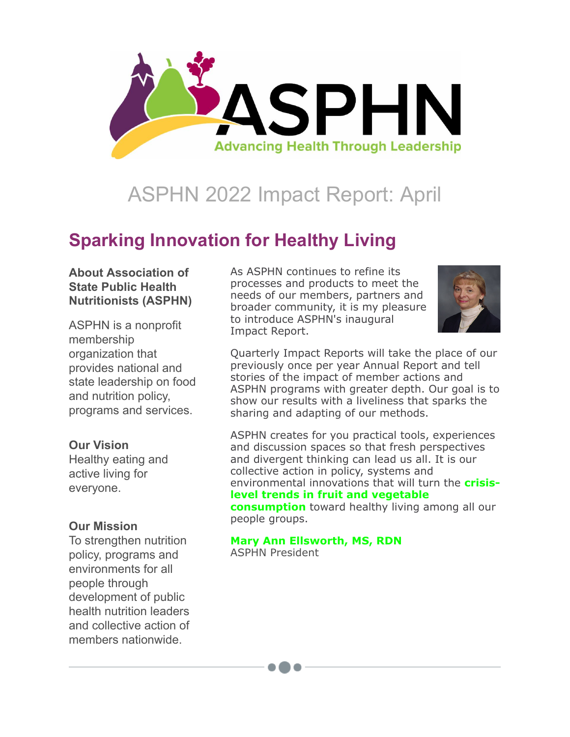

# ASPHN 2022 Impact Report: April

## **Sparking Innovation for Healthy Living**

#### **About Association of State Public Health Nutritionists (ASPHN)**

ASPHN is a nonprofit membership organization that provides national and state leadership on food and nutrition policy, programs and services.

#### **Our Vision**

Healthy eating and active living for everyone.

#### **Our Mission**

To strengthen nutrition policy, programs and environments for all people through development of public health nutrition leaders and collective action of members nationwide.

As ASPHN continues to refine its processes and products to meet the needs of our members, partners and broader community, it is my pleasure to introduce ASPHN's inaugural Impact Report.



Quarterly Impact Reports will take the place of our previously once per year Annual Report and tell stories of the impact of member actions and ASPHN programs with greater depth. Our goal is to show our results with a liveliness that sparks the sharing and adapting of our methods.

ASPHN creates for you practical tools, experiences and discussion spaces so that fresh perspectives and divergent thinking can lead us all. It is our collective action in policy, systems and [environmental innovations that will turn the](https://asphn.cmail19.com/t/ViewEmail/r/D929E9918FED80F32540EF23F30FEDED/CF02A7B67CE0B16A1726EA5DA1051479?alternativeLink=False) **crisislevel trends in fruit and vegetable consumption** toward healthy living among all our people groups.

**[Mary Ann Ellsworth, MS, RDN](https://asphn.org/member-directory/2272/mary-ann-ellsworth/)** ASPHN President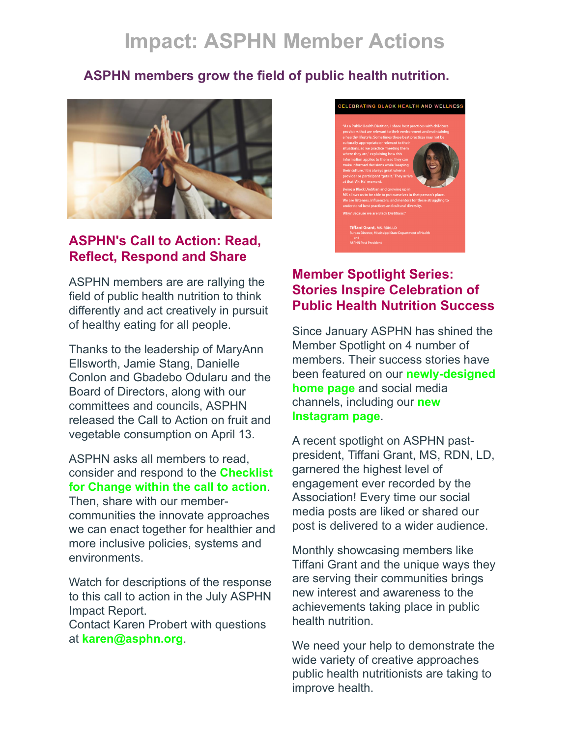## **Impact: ASPHN Member Actions**

## **ASPHN members grow the field of public health nutrition.**



### **ASPHN's Call to Action: Read, Reflect, Respond and Share**

ASPHN members are are rallying the field of public health nutrition to think differently and act creatively in pursuit of healthy eating for all people.

Thanks to the leadership of MaryAnn Ellsworth, Jamie Stang, Danielle Conlon and Gbadebo Odularu and the Board of Directors, along with our committees and councils, ASPHN released the Call to Action on fruit and vegetable consumption on April 13.

#### ASPHN asks all members to read, consider and respond to the **Checklist [for Change within the call to action](https://asphn.cmail19.com/t/ViewEmail/r/D929E9918FED80F32540EF23F30FEDED/CF02A7B67CE0B16A1726EA5DA1051479?alternativeLink=False)**.

Then, share with our membercommunities the innovate approaches we can enact together for healthier and more inclusive policies, systems and environments.

Watch for descriptions of the response to this call to action in the July ASPHN Impact Report.

Contact Karen Probert with questions at **[karen@asphn.org](mailto:karen@asphn.org)**.



### **Member Spotlight Series: Stories Inspire Celebration of Public Health Nutrition Success**

Since January ASPHN has shined the Member Spotlight on 4 number of members. Their success stories have [been featured on our](https://asphn.org/) **newly-designed home page** and social media [channels, including our](https://www.instagram.com/asphnorg/) **new Instagram page**.

A recent spotlight on ASPHN pastpresident, Tiffani Grant, MS, RDN, LD, garnered the highest level of engagement ever recorded by the Association! Every time our social media posts are liked or shared our post is delivered to a wider audience.

Monthly showcasing members like Tiffani Grant and the unique ways they are serving their communities brings new interest and awareness to the achievements taking place in public health nutrition.

We need your help to demonstrate the wide variety of creative approaches public health nutritionists are taking to improve health.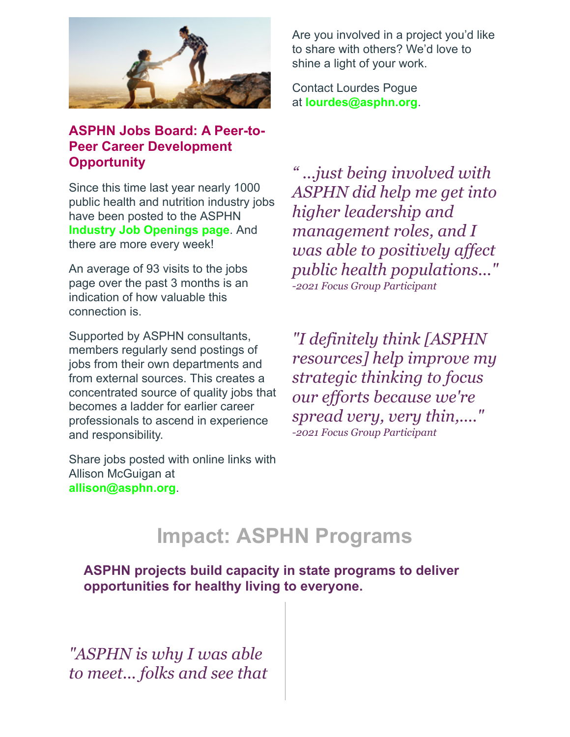

## **ASPHN Jobs Board: A Peer-to-Peer Career Development Opportunity**

Since this time last year nearly 1000 public health and nutrition industry jobs have been posted to the ASPHN **[Industry Job Openings page](https://asphn.org/job-openings/)**. And there are more every week!

An average of 93 visits to the jobs page over the past 3 months is an indication of how valuable this connection is.

Supported by ASPHN consultants, members regularly send postings of jobs from their own departments and from external sources. This creates a concentrated source of quality jobs that becomes a ladder for earlier career professionals to ascend in experience and responsibility.

Share jobs posted with online links with Allison McGuigan at **allison@asphn.org**.

Are you involved in a project you'd like to share with others? We'd love to shine a light of your work.

Contact Lourdes Pogue at **[lourdes@asphn.org](http://lourdes@asphn.org/)**.

*" ...just being involved with ASPHN did help me get into higher leadership and management roles, and I was able to positively affect public health populations..." -2021 Focus Group Participant*

*"I definitely think [ASPHN resources] help improve my strategic thinking to focus our efforts because we're spread very, very thin,...." -2021 Focus Group Participant*

## **Impact: ASPHN Programs**

**ASPHN projects build capacity in state programs to deliver opportunities for healthy living to everyone.**

*"ASPHN is why I was able to meet... folks and see that*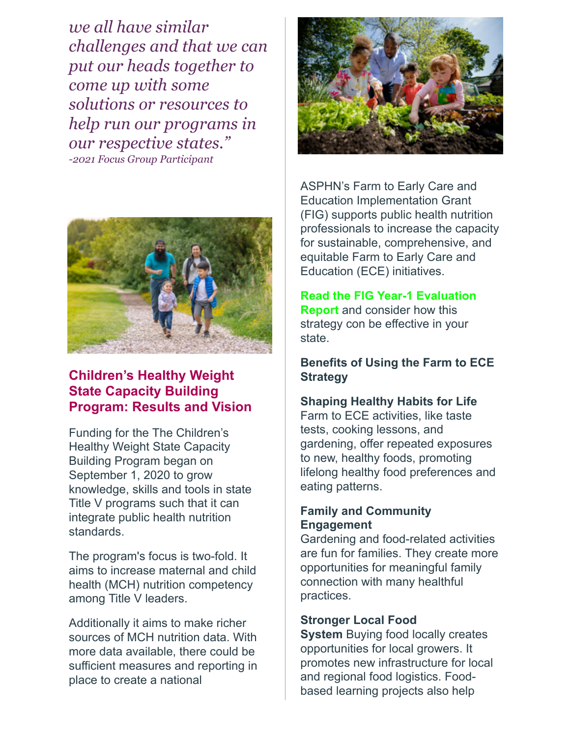*we all have similar challenges and that we can put our heads together to come up with some solutions or resources to help run our programs in our respective states." -2021 Focus Group Participant*



## **Children's Healthy Weight State Capacity Building Program: Results and Vision**

Funding for the The Children's Healthy Weight State Capacity Building Program began on September 1, 2020 to grow knowledge, skills and tools in state Title V programs such that it can integrate public health nutrition standards.

The program's focus is two-fold. It aims to increase maternal and child health (MCH) nutrition competency among Title V leaders.

Additionally it aims to make richer sources of MCH nutrition data. With more data available, there could be sufficient measures and reporting in place to create a national



ASPHN's Farm to Early Care and Education Implementation Grant (FIG) supports public health nutrition professionals to increase the capacity for sustainable, comprehensive, and equitable Farm to Early Care and Education (ECE) initiatives.

#### **[Read the FIG Year-1 Evaluation](https://asphn.org/wp-content/uploads/2021/10/ASPHN-2020-21-Year-1-FIG-Evaluation-Report.pdf)**

**Report** and consider how this strategy con be effective in your state.

#### **Benefits of Using the Farm to ECE Strategy**

#### **Shaping Healthy Habits for Life**

Farm to ECE activities, like taste tests, cooking lessons, and gardening, offer repeated exposures to new, healthy foods, promoting lifelong healthy food preferences and eating patterns.

#### **Family and Community Engagement**

Gardening and food-related activities are fun for families. They create more opportunities for meaningful family connection with many healthful practices.

#### **Stronger Local Food**

**System** Buying food locally creates opportunities for local growers. It promotes new infrastructure for local and regional food logistics. Foodbased learning projects also help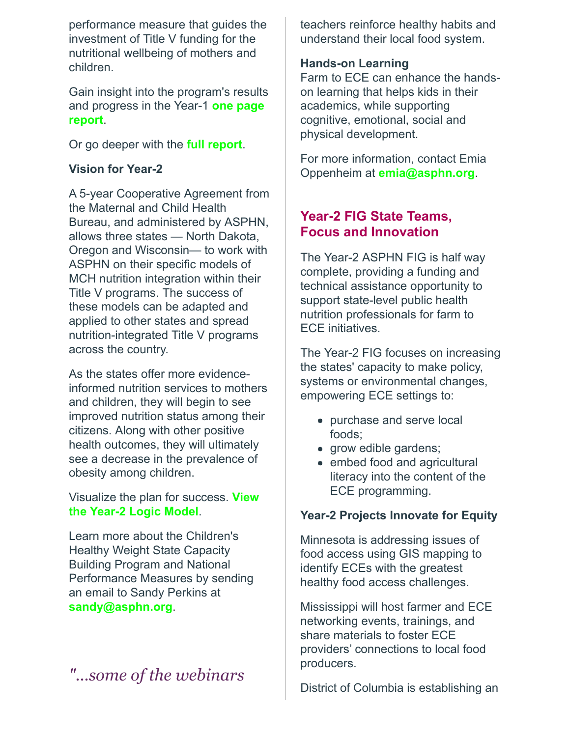performance measure that guides the investment of Title V funding for the nutritional wellbeing of mothers and children.

Gain insight into the program's results [and progress in the Year-1](https://asphn.org/wp-content/uploads/2022/01/Final-CHWCBP-One-Pager-Report_10.19.21v.2.pdf) **one page report**.

Or go deeper with the **[full report](https://asphn.org/wp-content/uploads/2022/01/Final-ASPHN-MCHB-Childrens-Healthy-Weight-Capacity-Building-11.18.21.pdf)**.

#### **Vision for Year-2**

A 5-year Cooperative Agreement from the Maternal and Child Health Bureau, and administered by ASPHN, allows three states — North Dakota, Oregon and Wisconsin— to work with ASPHN on their specific models of MCH nutrition integration within their Title V programs. The success of these models can be adapted and applied to other states and spread nutrition-integrated Title V programs across the country.

As the states offer more evidenceinformed nutrition services to mothers and children, they will begin to see improved nutrition status among their citizens. Along with other positive health outcomes, they will ultimately see a decrease in the prevalence of obesity among children.

#### [Visualize the plan for success.](https://asphn.org/wp-content/uploads/2022/01/CHW-State-Capacity-Building-Program-Yr-2-Logic-Model-v.1.pdf) **View the Year-2 Logic Model**.

Learn more about the Children's Healthy Weight State Capacity Building Program and National Performance Measures by sending an email to Sandy Perkins at **[sandy@asphn.org](mailto:sandy@asphn.org)**.

## *"...some of the webinars*

teachers reinforce healthy habits and understand their local food system.

#### **Hands-on Learning**

Farm to ECE can enhance the handson learning that helps kids in their academics, while supporting cognitive, emotional, social and physical development.

For more information, contact Emia Oppenheim at **[emia@asphn.org](mailto:emia@asphn.org)**.

## **Year-2 FIG State Teams, Focus and Innovation**

The Year-2 ASPHN FIG is half way complete, providing a funding and technical assistance opportunity to support state-level public health nutrition professionals for farm to ECE initiatives.

The Year-2 FIG focuses on increasing the states' capacity to make policy, systems or environmental changes, empowering ECE settings to:

- purchase and serve local foods;
- grow edible gardens;
- embed food and agricultural literacy into the content of the ECE programming.

#### **Year-2 Projects Innovate for Equity**

Minnesota is addressing issues of food access using GIS mapping to identify ECEs with the greatest healthy food access challenges.

Mississippi will host farmer and ECE networking events, trainings, and share materials to foster ECE providers' connections to local food producers.

District of Columbia is establishing an